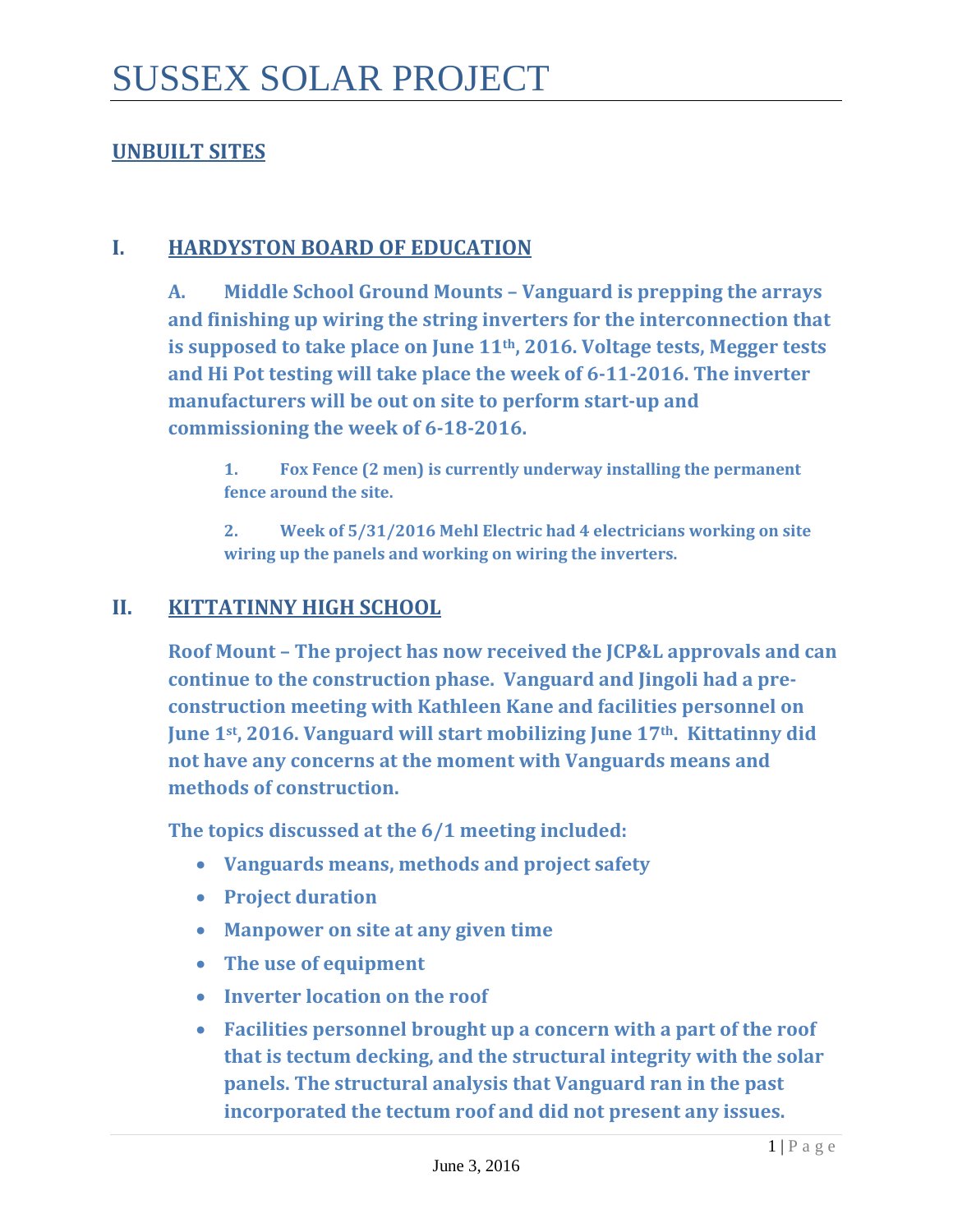## **UNBUILT SITES**

#### **I. HARDYSTON BOARD OF EDUCATION**

**A. Middle School Ground Mounts – Vanguard is prepping the arrays and finishing up wiring the string inverters for the interconnection that is supposed to take place on June 11th, 2016. Voltage tests, Megger tests and Hi Pot testing will take place the week of 6-11-2016. The inverter manufacturers will be out on site to perform start-up and commissioning the week of 6-18-2016.**

**1. Fox Fence (2 men) is currently underway installing the permanent fence around the site.**

**2. Week of 5/31/2016 Mehl Electric had 4 electricians working on site wiring up the panels and working on wiring the inverters.**

#### **II. KITTATINNY HIGH SCHOOL**

**Roof Mount – The project has now received the JCP&L approvals and can continue to the construction phase. Vanguard and Jingoli had a preconstruction meeting with Kathleen Kane and facilities personnel on June 1st, 2016. Vanguard will start mobilizing June 17th. Kittatinny did not have any concerns at the moment with Vanguards means and methods of construction.** 

**The topics discussed at the 6/1 meeting included:**

- **Vanguards means, methods and project safety**
- **Project duration**
- **Manpower on site at any given time**
- **The use of equipment**
- **Inverter location on the roof**
- **Facilities personnel brought up a concern with a part of the roof that is tectum decking, and the structural integrity with the solar panels. The structural analysis that Vanguard ran in the past incorporated the tectum roof and did not present any issues.**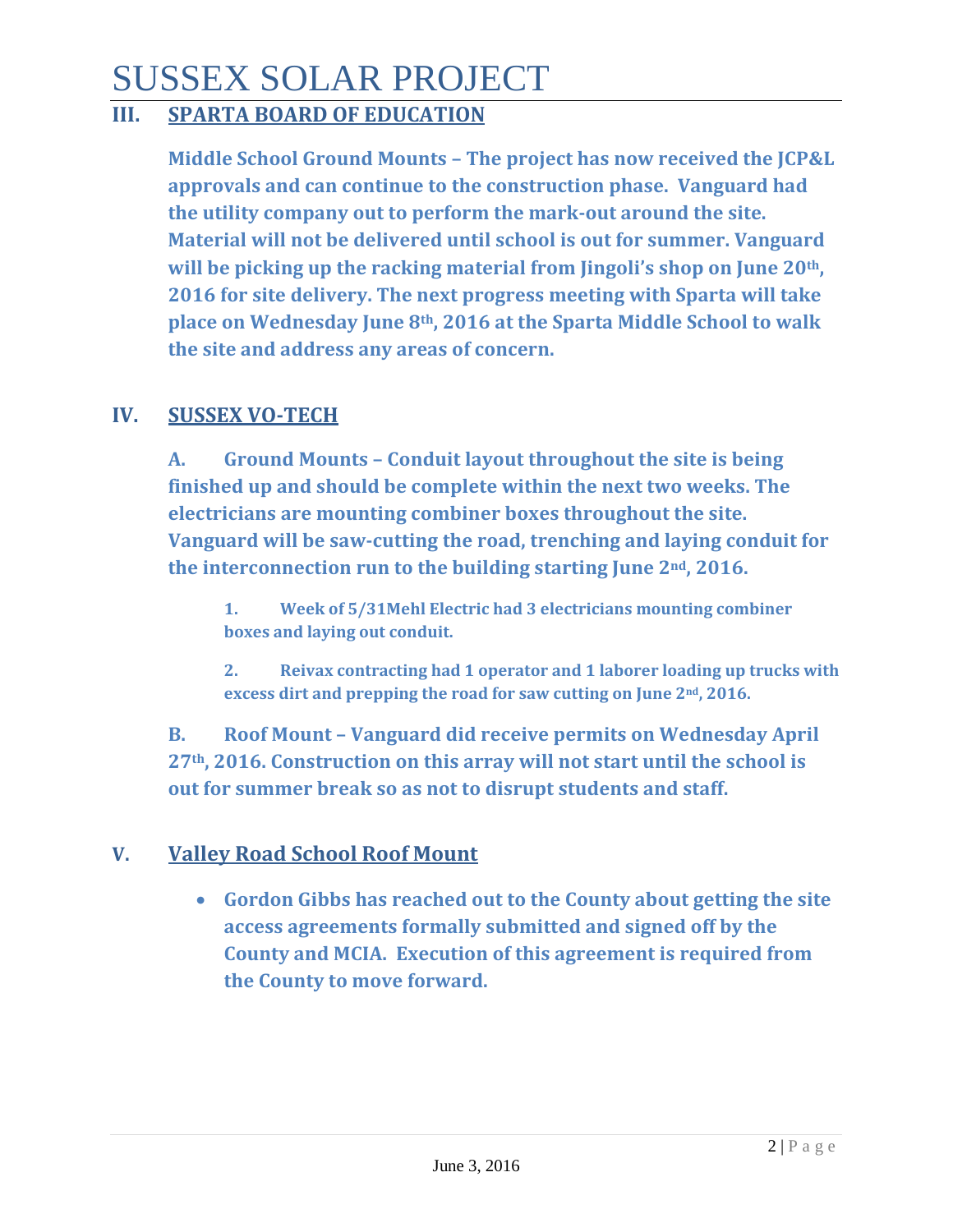# SUSSEX SOLAR PROJECT

## **III. SPARTA BOARD OF EDUCATION**

**Middle School Ground Mounts – The project has now received the JCP&L approvals and can continue to the construction phase. Vanguard had the utility company out to perform the mark-out around the site. Material will not be delivered until school is out for summer. Vanguard will be picking up the racking material from Jingoli's shop on June 20th, 2016 for site delivery. The next progress meeting with Sparta will take place on Wednesday June 8th, 2016 at the Sparta Middle School to walk the site and address any areas of concern.** 

## **IV. SUSSEX VO-TECH**

**A. Ground Mounts – Conduit layout throughout the site is being finished up and should be complete within the next two weeks. The electricians are mounting combiner boxes throughout the site. Vanguard will be saw-cutting the road, trenching and laying conduit for the interconnection run to the building starting June 2nd, 2016.** 

**1. Week of 5/31Mehl Electric had 3 electricians mounting combiner boxes and laying out conduit.** 

**2. Reivax contracting had 1 operator and 1 laborer loading up trucks with excess dirt and prepping the road for saw cutting on June 2nd, 2016.**

**B. Roof Mount – Vanguard did receive permits on Wednesday April 27th, 2016. Construction on this array will not start until the school is out for summer break so as not to disrupt students and staff.**

## **V. Valley Road School Roof Mount**

• **Gordon Gibbs has reached out to the County about getting the site access agreements formally submitted and signed off by the County and MCIA. Execution of this agreement is required from the County to move forward.**